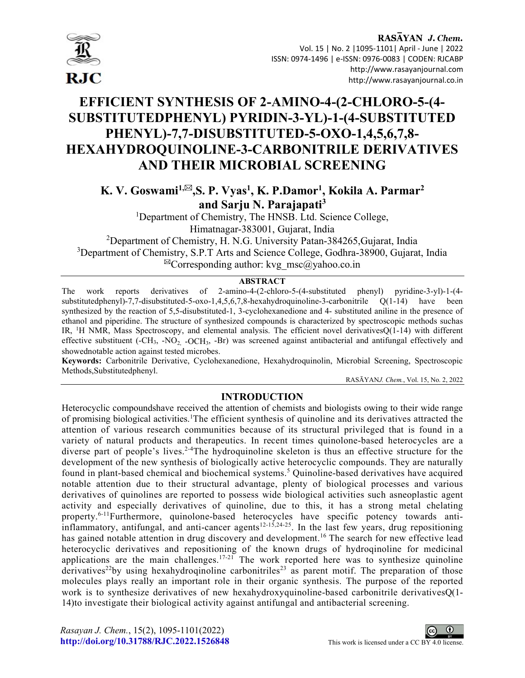

# EFFICIENT SYNTHESIS OF 2-AMINO-4-(2-CHLORO-5-(4- SUBSTITUTEDPHENYL) PYRIDIN-3-YL)-1-(4-SUBSTITUTED PHENYL)-7,7-DISUBSTITUTED-5-OXO-1,4,5,6,7,8- HEXAHYDROQUINOLINE-3-CARBONITRILE DERIVATIVES AND THEIR MICROBIAL SCREENING

K. V. Goswami<sup>1,⊠</sup>,S. P. Vyas<sup>1</sup>, K. P.Damor<sup>1</sup>, Kokila A. Parmar<sup>2</sup> and Sarju N. Parajapati<sup>3</sup>

> <sup>1</sup>Department of Chemistry, The HNSB. Ltd. Science College, Himatnagar-383001, Gujarat, India

<sup>2</sup>Department of Chemistry, H. N.G. University Patan-384265, Gujarat, India <sup>3</sup>Department of Chemistry, S.P.T Arts and Science College, Godhra-38900, Gujarat, India  ${}^{\boxtimes}$ Corresponding author: kvg msc@yahoo.co.in

# **ABSTRACT**

The work reports derivatives of 2-amino-4-(2-chloro-5-(4-substituted phenyl) pyridine-3-yl)-1-(4 substitutedphenyl)-7,7-disubstituted-5-oxo-1,4,5,6,7,8-hexahydroquinoline-3-carbonitrile Q(1-14) have been synthesized by the reaction of 5,5-disubstituted-1, 3-cyclohexanedione and 4- substituted aniline in the presence of ethanol and piperidine. The structure of synthesized compounds is characterized by spectroscopic methods suchas IR, <sup>1</sup>H NMR, Mass Spectroscopy, and elemental analysis. The efficient novel derivativesQ(1-14) with different effective substituent  $(-CH_3, -NO_2, -OCH_3, -Br)$  was screened against antibacterial and antifungal effectively and showednotable action against tested microbes.

Keywords: Carbonitrile Derivative, Cyclohexanedione, Hexahydroquinolin, Microbial Screening, Spectroscopic Methods,Substitutedphenyl.

RASĀYANJ. Chem., Vol. 15, No. 2, 2022

# INTRODUCTION

Heterocyclic compoundshave received the attention of chemists and biologists owing to their wide range of promising biological activities.<sup>1</sup>The efficient synthesis of quinoline and its derivatives attracted the attention of various research communities because of its structural privileged that is found in a variety of natural products and therapeutics. In recent times quinolone-based heterocycles are a diverse part of people's lives.<sup>2-4</sup>The hydroquinoline skeleton is thus an effective structure for the development of the new synthesis of biologically active heterocyclic compounds. They are naturally found in plant-based chemical and biochemical systems.<sup>5</sup> Quinoline-based derivatives have acquired notable attention due to their structural advantage, plenty of biological processes and various derivatives of quinolines are reported to possess wide biological activities such asneoplastic agent activity and especially derivatives of quinoline, due to this, it has a strong metal chelating property.<sup>6-11</sup>Furthermore, quinolone-based heterocycles have specific potency towards antiinflammatory, antifungal, and anti-cancer agents<sup>12-15,24-25</sup>. In the last few years, drug repositioning has gained notable attention in drug discovery and development.<sup>16</sup> The search for new effective lead heterocyclic derivatives and repositioning of the known drugs of hydroqinoline for medicinal applications are the main challenges.<sup>17-21</sup> The work reported here was to synthesize quinoline derivatives<sup>22</sup>by using hexahydroqinoline carbonitriles<sup>23</sup> as parent motif. The preparation of those molecules plays really an important role in their organic synthesis. The purpose of the reported work is to synthesize derivatives of new hexahydroxyquinoline-based carbonitrile derivativesQ(1- 14)to investigate their biological activity against antifungal and antibacterial screening.

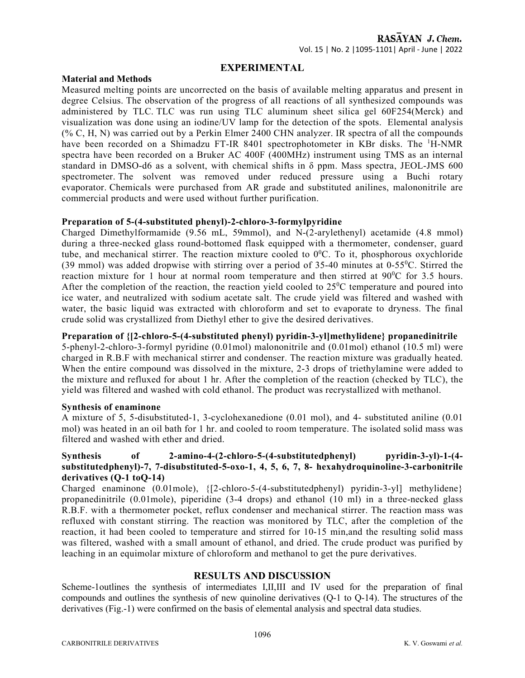# EXPERIMENTAL

#### Material and Methods

Measured melting points are uncorrected on the basis of available melting apparatus and present in degree Celsius. The observation of the progress of all reactions of all synthesized compounds was administered by TLC. TLC was run using TLC aluminum sheet silica gel 60F254(Merck) and visualization was done using an iodine/UV lamp for the detection of the spots. Elemental analysis (% C, H, N) was carried out by a Perkin Elmer 2400 CHN analyzer. IR spectra of all the compounds have been recorded on a Shimadzu FT-IR 8401 spectrophotometer in KBr disks. The <sup>1</sup>H-NMR spectra have been recorded on a Bruker AC 400F (400MHz) instrument using TMS as an internal standard in DMSO-d6 as a solvent, with chemical shifts in δ ppm. Mass spectra, JEOL-JMS 600 spectrometer. The solvent was removed under reduced pressure using a Buchi rotary evaporator. Chemicals were purchased from AR grade and substituted anilines, malononitrile are commercial products and were used without further purification.

## Preparation of 5-(4-substituted phenyl)-2-chloro-3-formylpyridine

Charged Dimethylformamide (9.56 mL, 59mmol), and N-(2-arylethenyl) acetamide (4.8 mmol) during a three-necked glass round-bottomed flask equipped with a thermometer, condenser, guard tube, and mechanical stirrer. The reaction mixture cooled to  $0^0$ C. To it, phosphorous oxychloride (39 mmol) was added dropwise with stirring over a period of 35-40 minutes at  $0.55^{\circ}$ C. Stirred the reaction mixture for 1 hour at normal room temperature and then stirred at  $90^{\circ}$ C for 3.5 hours. After the completion of the reaction, the reaction yield cooled to  $25\degree$ C temperature and poured into ice water, and neutralized with sodium acetate salt. The crude yield was filtered and washed with water, the basic liquid was extracted with chloroform and set to evaporate to dryness. The final crude solid was crystallized from Diethyl ether to give the desired derivatives.

## Preparation of {[2-chloro-5-(4-substituted phenyl) pyridin-3-yl]methylidene} propanedinitrile

5-phenyl-2-chloro-3-formyl pyridine (0.01mol) malononitrile and (0.01mol) ethanol (10.5 ml) were charged in R.B.F with mechanical stirrer and condenser. The reaction mixture was gradually heated. When the entire compound was dissolved in the mixture, 2-3 drops of triethylamine were added to the mixture and refluxed for about 1 hr. After the completion of the reaction (checked by TLC), the yield was filtered and washed with cold ethanol. The product was recrystallized with methanol.

#### Synthesis of enaminone

A mixture of 5, 5-disubstituted-1, 3-cyclohexanedione (0.01 mol), and 4- substituted aniline (0.01 mol) was heated in an oil bath for 1 hr. and cooled to room temperature. The isolated solid mass was filtered and washed with ether and dried.

# Synthesis of 2-amino-4-(2-chloro-5-(4-substitutedphenyl) pyridin-3-yl)-1-(4 substitutedphenyl)-7, 7-disubstituted-5-oxo-1, 4, 5, 6, 7, 8- hexahydroquinoline-3-carbonitrile derivatives (Q-1 toQ-14)

Charged enaminone (0.01mole), {[2-chloro-5-(4-substitutedphenyl) pyridin-3-yl] methylidene} propanedinitrile (0.01mole), piperidine (3-4 drops) and ethanol (10 ml) in a three-necked glass R.B.F. with a thermometer pocket, reflux condenser and mechanical stirrer. The reaction mass was refluxed with constant stirring. The reaction was monitored by TLC, after the completion of the reaction, it had been cooled to temperature and stirred for 10-15 min,and the resulting solid mass was filtered, washed with a small amount of ethanol, and dried. The crude product was purified by leaching in an equimolar mixture of chloroform and methanol to get the pure derivatives.

# RESULTS AND DISCUSSION

Scheme-1outlines the synthesis of intermediates I,II,III and IV used for the preparation of final compounds and outlines the synthesis of new quinoline derivatives (Q-1 to Q-14). The structures of the derivatives (Fig.-1) were confirmed on the basis of elemental analysis and spectral data studies.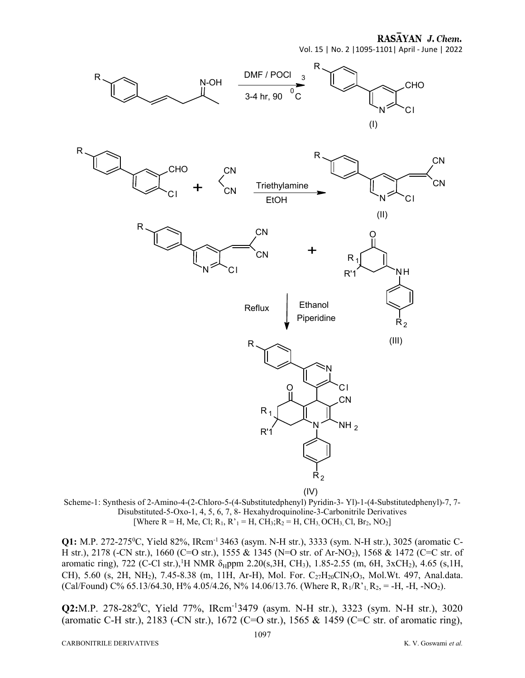RASAYAN J. Chem.

Vol. 15 | No. 2 |1095-1101| April - June | 2022



(IV)

Scheme-1: Synthesis of 2-Amino-4-(2-Chloro-5-(4-Substitutedphenyl) Pyridin-3- Yl)-1-(4-Substitutedphenyl)-7, 7- Disubstituted-5-Oxo-1, 4, 5, 6, 7, 8- Hexahydroquinoline-3-Carbonitrile Derivatives [Where R = H, Me, Cl; R<sub>1</sub>, R'<sub>1</sub> = H, CH<sub>3</sub>;R<sub>2</sub> = H, CH<sub>3</sub>, OCH<sub>3</sub>, Cl, Br<sub>2</sub>, NO<sub>2</sub>]

**Q1:** M.P. 272-275<sup>0</sup>C, Yield 82%, IRcm<sup>-1</sup> 3463 (asym. N-H str.), 3333 (sym. N-H str.), 3025 (aromatic C-H str.), 2178 (-CN str.), 1660 (C=O str.), 1555 & 1345 (N=O str. of Ar-NO2), 1568 & 1472 (C=C str. of aromatic ring), 722 (C-Cl str.),<sup>1</sup>H NMR  $\delta_H$ ppm 2.20(s,3H, CH<sub>3</sub>), 1.85-2.55 (m, 6H, 3xCH<sub>2</sub>), 4.65 (s,1H, CH), 5.60 (s, 2H, NH<sub>2</sub>), 7.45-8.38 (m, 11H, Ar-H), Mol. For. C<sub>27</sub>H<sub>20</sub>ClN<sub>5</sub>O<sub>3</sub>, Mol.Wt. 497, Anal.data. (Cal/Found) C% 65.13/64.30, H% 4.05/4.26, N% 14.06/13.76. (Where R, R<sub>1</sub>/R'<sub>1</sub>, R<sub>2</sub>, = -H, -H, -NO<sub>2</sub>).

Q2:M.P. 278-282<sup>0</sup>C, Yield 77%, IRcm<sup>-1</sup>3479 (asym. N-H str.), 3323 (sym. N-H str.), 3020 (aromatic C-H str.), 2183 (-CN str.), 1672 (C=O str.), 1565 & 1459 (C=C str. of aromatic ring),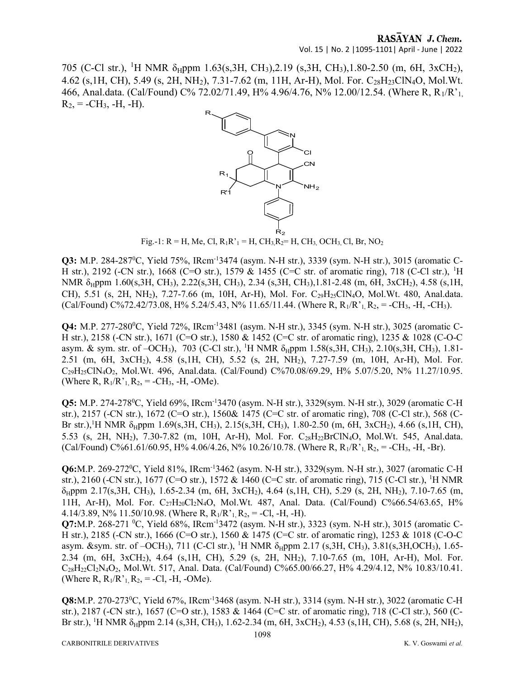705 (C-Cl str.), <sup>1</sup>H NMR  $\delta_H$ ppm 1.63(s,3H, CH<sub>3</sub>),2.19 (s,3H, CH<sub>3</sub>),1.80-2.50 (m, 6H, 3xCH<sub>2</sub>), 4.62 (s, 1H, CH), 5.49 (s, 2H, NH<sub>2</sub>), 7.31-7.62 (m, 11H, Ar-H), Mol. For. C<sub>28</sub>H<sub>23</sub>ClN<sub>4</sub>O, Mol.Wt. 466, Anal.data. (Cal/Found) C% 72.02/71.49, H% 4.96/4.76, N% 12.00/12.54. (Where R, R1/R'1,  $R_2$ , = -CH<sub>3</sub>, -H, -H).



Fig.-1: R = H, Me, Cl,  $R_1R_1$ <sup>-</sup> H, CH<sub>3</sub>,  $R_2$ = H, CH<sub>3</sub>, OCH<sub>3</sub>, Cl, Br, NO<sub>2</sub>

**Q3:** M.P. 284-287<sup>0</sup>C, Yield 75%, IRcm<sup>-1</sup>3474 (asym. N-H str.), 3339 (sym. N-H str.), 3015 (aromatic C-H str.), 2192 (-CN str.), 1668 (C=O str.), 1579 & 1455 (C=C str. of aromatic ring), 718 (C-Cl str.), <sup>1</sup>H NMR  $\delta_H$ ppm 1.60(s,3H, CH<sub>3</sub>), 2.22(s,3H, CH<sub>3</sub>), 2.34 (s,3H, CH<sub>3</sub>),1.81-2.48 (m, 6H, 3xCH<sub>2</sub>), 4.58 (s,1H, CH), 5.51 (s, 2H, NH<sub>2</sub>), 7.27-7.66 (m, 10H, Ar-H), Mol. For. C<sub>29</sub>H<sub>25</sub>ClN<sub>4</sub>O, Mol.Wt. 480, Anal.data. (Cal/Found) C%72.42/73.08, H% 5.24/5.43, N% 11.65/11.44. (Where R, R<sub>1</sub>/R'<sub>1</sub>, R<sub>2</sub>, = -CH<sub>3</sub>, -H, -CH<sub>3</sub>).

**Q4:** M.P. 277-280<sup>o</sup>C, Yield 72%, IRcm<sup>-1</sup>3481 (asym. N-H str.), 3345 (sym. N-H str.), 3025 (aromatic C-H str.), 2158 (-CN str.), 1671 (C=O str.), 1580 & 1452 (C=C str. of aromatic ring), 1235 & 1028 (C-O-C asym. & sym. str. of -OCH<sub>3</sub>), 703 (C-Cl str.), <sup>1</sup>H NMR δ<sub>H</sub>ppm 1.58(s,3H, CH<sub>3</sub>), 2.10(s,3H, CH<sub>3</sub>), 1.81-2.51 (m, 6H, 3xCH2), 4.58 (s,1H, CH), 5.52 (s, 2H, NH2), 7.27-7.59 (m, 10H, Ar-H), Mol. For. C29H25ClN4O2, Mol.Wt. 496, Anal.data. (Cal/Found) C%70.08/69.29, H% 5.07/5.20, N% 11.27/10.95. (Where R,  $R_1/R$ <sup>,</sup>  $R_2$ , = -CH<sub>3</sub>, -H, -OMe).

Q5: M.P. 274-278<sup>0</sup>C, Yield 69%, IRcm-13470 (asym. N-H str.), 3329(sym. N-H str.), 3029 (aromatic C-H str.), 2157 (-CN str.), 1672 (C=O str.), 1560& 1475 (C=C str. of aromatic ring), 708 (C-Cl str.), 568 (C-Br str.),<sup>1</sup>H NMR  $\delta_H$ ppm 1.69(s,3H, CH<sub>3</sub>), 2.15(s,3H, CH<sub>3</sub>), 1.80-2.50 (m, 6H, 3xCH<sub>2</sub>), 4.66 (s,1H, CH), 5.53 (s, 2H, NH<sub>2</sub>), 7.30-7.82 (m, 10H, Ar-H), Mol. For. C<sub>28</sub>H<sub>22</sub>BrClN<sub>4</sub>O, Mol.Wt. 545, Anal.data. (Cal/Found) C%61.61/60.95, H% 4.06/4.26, N% 10.26/10.78. (Where R,  $R_1/R_1^1, R_2 = -CH_3$ , -H, -Br).

Q6:M.P. 269-272<sup>0</sup>C, Yield 81%, IRcm-13462 (asym. N-H str.), 3329(sym. N-H str.), 3027 (aromatic C-H str.), 2160 (-CN str.), 1677 (C=O str.), 1572 & 1460 (C=C str. of aromatic ring), 715 (C-Cl str.), <sup>1</sup>H NMR  $\delta_H$ ppm 2.17(s,3H, CH<sub>3</sub>), 1.65-2.34 (m, 6H, 3xCH<sub>2</sub>), 4.64 (s,1H, CH), 5.29 (s, 2H, NH<sub>2</sub>), 7.10-7.65 (m, 11H, Ar-H), Mol. For.  $C_{27}H_{20}Cl_{2}N_{4}O$ , Mol. Wt. 487, Anal. Data. (Cal/Found) C%66.54/63.65, H% 4.14/3.89, N% 11.50/10.98. (Where R,  $R_1/R_1^2$ ,  $R_2$ , = -Cl, -H, -H).

Q7:M.P. 268-271 <sup>0</sup>C, Yield 68%, IRcm<sup>-1</sup>3472 (asym. N-H str.), 3323 (sym. N-H str.), 3015 (aromatic C-H str.), 2185 (-CN str.), 1666 (C=O str.), 1560 & 1475 (C=C str. of aromatic ring), 1253 & 1018 (C-O-C asym. &sym. str. of -OCH<sub>3</sub>), 711 (C-Cl str.), <sup>1</sup>H NMR δ<sub>H</sub>ppm 2.17 (s,3H, CH<sub>3</sub>), 3.81(s,3H, OCH<sub>3</sub>), 1.65-2.34 (m, 6H, 3xCH2), 4.64 (s,1H, CH), 5.29 (s, 2H, NH2), 7.10-7.65 (m, 10H, Ar-H), Mol. For. C28H22Cl2N4O2, Mol.Wt. 517, Anal. Data. (Cal/Found) C%65.00/66.27, H% 4.29/4.12, N% 10.83/10.41. (Where R,  $R_1/R_1^T$ ,  $R_2$ , = -Cl, -H, -OMe).

Q8:M.P. 270-273<sup>0</sup>C, Yield 67%, IRcm-13468 (asym. N-H str.), 3314 (sym. N-H str.), 3022 (aromatic C-H str.), 2187 (-CN str.), 1657 (C=O str.), 1583 & 1464 (C=C str. of aromatic ring), 718 (C-Cl str.), 560 (C-Br str.), <sup>1</sup>H NMR  $\delta_H$ ppm 2.14 (s,3H, CH<sub>3</sub>), 1.62-2.34 (m, 6H, 3xCH<sub>2</sub>), 4.53 (s,1H, CH), 5.68 (s, 2H, NH<sub>2</sub>),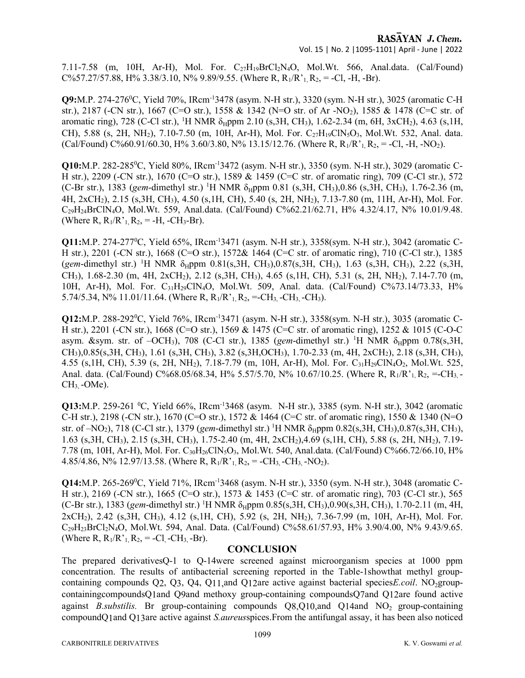RASAYAN J. Chem. Vol. 15 | No. 2 |1095-1101| April - June | 2022

7.11-7.58 (m, 10H, Ar-H), Mol. For.  $C_2H_{19}BrCl_2N_4O$ , Mol.Wt. 566, Anal.data. (Cal/Found)  $C\frac{6}{57.27}{57.88}$ , H% 3.38/3.10, N% 9.89/9.55. (Where R, R<sub>1</sub>/R'<sub>1</sub>, R<sub>2</sub>, = -Cl, -H, -Br).

Q9:M.P. 274-276<sup>0</sup>C, Yield 70%, IRcm-13478 (asym. N-H str.), 3320 (sym. N-H str.), 3025 (aromatic C-H str.), 2187 (-CN str.), 1667 (C=O str.), 1558 & 1342 (N=O str. of Ar -NO2), 1585 & 1478 (C=C str. of aromatic ring), 728 (C-Cl str.), <sup>1</sup>H NMR  $\delta_H$ ppm 2.10 (s,3H, CH<sub>3</sub>), 1.62-2.34 (m, 6H, 3xCH<sub>2</sub>), 4.63 (s,1H, CH), 5.88 (s, 2H, NH<sub>2</sub>), 7.10-7.50 (m, 10H, Ar-H), Mol. For. C<sub>27</sub>H<sub>19</sub>ClN<sub>5</sub>O<sub>3</sub>, Mol.Wt. 532, Anal. data. (Cal/Found) C%60.91/60.30, H% 3.60/3.80, N% 13.15/12.76. (Where R,  $R_1/R_1^1$ ,  $R_2$ , = -Cl, -H, -NO<sub>2</sub>).

Q10:M.P. 282-2850C, Yield 80%, IRcm-13472 (asym. N-H str.), 3350 (sym. N-H str.), 3029 (aromatic C-H str.), 2209 (-CN str.), 1670 (C=O str.), 1589 & 1459 (C=C str. of aromatic ring), 709 (C-Cl str.), 572 (C-Br str.), 1383 (gem-dimethyl str.) <sup>1</sup>H NMR  $\delta_H$ ppm 0.81 (s,3H, CH<sub>3</sub>),0.86 (s,3H, CH<sub>3</sub>), 1.76-2.36 (m, 4H, 2xCH2), 2.15 (s,3H, CH3), 4.50 (s,1H, CH), 5.40 (s, 2H, NH2), 7.13-7.80 (m, 11H, Ar-H), Mol. For. C29H24BrClN4O, Mol.Wt. 559, Anal.data. (Cal/Found) C%62.21/62.71, H% 4.32/4.17, N% 10.01/9.48. (Where R,  $R_1/R$ <sup>,</sup><sub>1</sub>,  $R_2$ , = -H, -CH<sub>3</sub>-Br).

Q11:M.P. 274-2770C, Yield 65%, IRcm-13471 (asym. N-H str.), 3358(sym. N-H str.), 3042 (aromatic C-H str.), 2201 (-CN str.), 1668 (C=O str.), 1572& 1464 (C=C str. of aromatic ring), 710 (C-Cl str.), 1385 (gem-dimethyl str.) <sup>1</sup>H NMR  $\delta_H$ ppm 0.81(s,3H, CH<sub>3</sub>),0.87(s,3H, CH<sub>3</sub>), 1.63 (s,3H, CH<sub>3</sub>), 2.22 (s,3H, CH<sub>3</sub>), 1.68-2.30 (m, 4H, 2xCH<sub>2</sub>), 2.12 (s, 3H, CH<sub>3</sub>), 4.65 (s, 1H, CH), 5.31 (s, 2H, NH<sub>2</sub>), 7.14-7.70 (m, 10H, Ar-H), Mol. For. C31H29ClN4O, Mol.Wt. 509, Anal. data. (Cal/Found) C%73.14/73.33, H% 5.74/5.34, N% 11.01/11.64. (Where R,  $R_1/R_1^3$ ,  $R_2$ , =-CH<sub>3</sub>, -CH<sub>3</sub>, -CH<sub>3</sub>).

**Q12:**M.P. 288-292<sup>0</sup>C, Yield 76%, IRcm<sup>-1</sup>3471 (asym. N-H str.), 3358(sym. N-H str.), 3035 (aromatic C-H str.), 2201 (-CN str.), 1668 (C=O str.), 1569 & 1475 (C=C str. of aromatic ring), 1252 & 1015 (C-O-C asym. &sym. str. of  $-OCH_3$ ), 708 (C-Cl str.), 1385 (gem-dimethyl str.) <sup>1</sup>H NMR  $\delta_{\rm H}$ ppm 0.78(s,3H, CH3),0.85(s,3H, CH3), 1.61 (s,3H, CH3), 3.82 (s,3H,OCH3), 1.70-2.33 (m, 4H, 2xCH2), 2.18 (s,3H, CH3), 4.55 (s, 1H, CH), 5.39 (s, 2H, NH<sub>2</sub>), 7.18-7.79 (m, 10H, Ar-H), Mol. For. C<sub>31</sub>H<sub>29</sub>ClN<sub>4</sub>O<sub>2</sub>, Mol.Wt. 525, Anal. data. (Cal/Found) C%68.05/68.34, H% 5.57/5.70, N% 10.67/10.25. (Where R, R<sub>1</sub>/R'<sub>1</sub>, R<sub>2</sub>, =-CH<sub>3</sub>.  $CH<sub>3</sub>$ -OMe).

**O13:**M.P. 259-261 <sup>0</sup>C, Yield 66%, IRcm<sup>-1</sup>3468 (asym. N-H str.), 3385 (sym. N-H str.), 3042 (aromatic C-H str.), 2198 (-CN str.), 1670 (C=O str.), 1572 & 1464 (C=C str. of aromatic ring), 1550 & 1340 (N=O str. of –NO<sub>2</sub>), 718 (C-Cl str.), 1379 (gem-dimethyl str.) <sup>1</sup>H NMR  $\delta_H$ ppm 0.82(s,3H, CH<sub>3</sub>),0.87(s,3H, CH<sub>3</sub>), 1.63 (s,3H, CH3), 2.15 (s,3H, CH3), 1.75-2.40 (m, 4H, 2xCH2),4.69 (s,1H, CH), 5.88 (s, 2H, NH2), 7.19- 7.78 (m, 10H, Ar-H), Mol. For.  $C_{30}H_{26}CIN_{5}O_{3}$ , Mol.Wt. 540, Anal.data. (Cal/Found) C%66.72/66.10, H% 4.85/4.86, N% 12.97/13.58. (Where R,  $R_1/R_1$ ,  $R_2$ , = -CH<sub>3</sub>, -CH<sub>3</sub>, -NO<sub>2</sub>).

Q14:M.P. 265-2690C, Yield 71%, IRcm-13468 (asym. N-H str.), 3350 (sym. N-H str.), 3048 (aromatic C-H str.), 2169 (-CN str.), 1665 (C=O str.), 1573 & 1453 (C=C str. of aromatic ring), 703 (C-Cl str.), 565 (C-Br str.), 1383 (gem-dimethyl str.) <sup>1</sup>H NMR  $\delta_H$ ppm 0.85(s,3H, CH<sub>3</sub>),0.90(s,3H, CH<sub>3</sub>), 1.70-2.11 (m, 4H, 2xCH2), 2.42 (s,3H, CH3), 4.12 (s,1H, CH), 5.92 (s, 2H, NH2), 7.36-7.99 (m, 10H, Ar-H), Mol. For. C29H23BrCl2N4O, Mol.Wt. 594, Anal. Data. (Cal/Found) C%58.61/57.93, H% 3.90/4.00, N% 9.43/9.65. (Where R,  $R_1/R_1^T$ ,  $R_2$ , = -Cl, -CH<sub>3</sub>, -Br).

#### **CONCLUSION**

The prepared derivativesQ-1 to Q-14were screened against microorganism species at 1000 ppm concentration. The results of antibacterial screening reported in the Table-1showthat methyl groupcontaining compounds  $Q2$ ,  $Q3$ ,  $Q4$ ,  $Q11$ , and  $Q12$ are active against bacterial species *E.coil*. NO<sub>2</sub>groupcontainingcompoundsQ1and Q9and methoxy group-containing compoundsQ7and Q12are found active against *B.substilis*. Br group-containing compounds  $O(8.010)$  and  $O(14)$  NO<sub>2</sub> group-containing compoundQ1and Q13are active against S.aureusspices.From the antifungal assay, it has been also noticed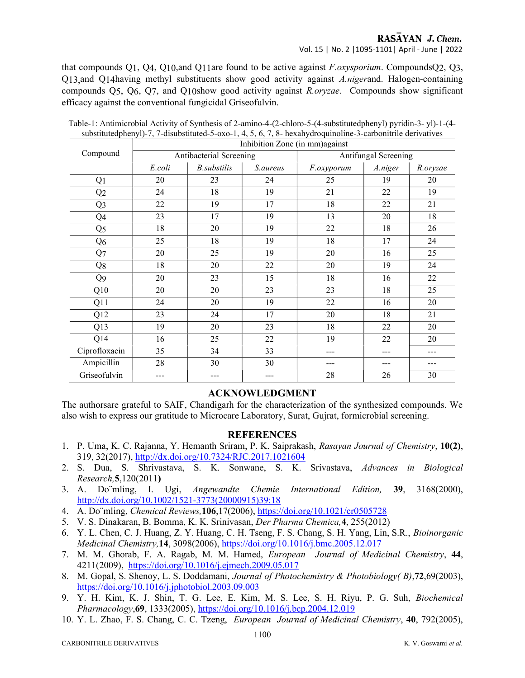### RASAYAN J. Chem. Vol. 15 | No. 2 |1095-1101| April - June | 2022

that compounds Q1, Q4, Q10,and Q11are found to be active against  $F.$   $oxysporium$ . Compounds Q2, Q3, Q13,and Q14having methyl substituents show good activity against A.nigerand. Halogen-containing compounds  $Q_5$ ,  $Q_6$ ,  $Q_7$ , and  $Q_1$ 0show good activity against R.oryzae. Compounds show significant efficacy against the conventional fungicidal Griseofulvin.

| Compound       | Inhibition Zone (in mm) against |                    |          |                      |         |          |
|----------------|---------------------------------|--------------------|----------|----------------------|---------|----------|
|                | Antibacterial Screening         |                    |          | Antifungal Screening |         |          |
|                | E.coli                          | <b>B.substilis</b> | S.aureus | F.oxyporum           | A.niger | R.oryzae |
| Q <sub>1</sub> | 20                              | 23                 | 24       | 25                   | 19      | 20       |
| Q2             | 24                              | 18                 | 19       | 21                   | 22      | 19       |
| Q <sub>3</sub> | 22                              | 19                 | 17       | 18                   | 22      | 21       |
| Q4             | 23                              | 17                 | 19       | 13                   | 20      | 18       |
| Q <sub>5</sub> | 18                              | 20                 | 19       | 22                   | 18      | 26       |
| Q <sub>6</sub> | 25                              | 18                 | 19       | 18                   | 17      | 24       |
| Q7             | 20                              | 25                 | 19       | 20                   | 16      | 25       |
| Q8             | 18                              | 20                 | 22       | 20                   | 19      | 24       |
| Q9             | 20                              | 23                 | 15       | 18                   | 16      | $22\,$   |
| Q10            | 20                              | 20                 | 23       | 23                   | 18      | 25       |
| Q11            | 24                              | 20                 | 19       | 22                   | 16      | 20       |
| Q12            | 23                              | 24                 | 17       | 20                   | 18      | 21       |
| Q13            | 19                              | 20                 | 23       | 18                   | 22      | 20       |
| Q14            | 16                              | 25                 | 22       | 19                   | 22      | 20       |
| Ciprofloxacin  | 35                              | 34                 | 33       | ---                  | ---     | ---      |
| Ampicillin     | 28                              | 30                 | 30       | ---                  | ---     |          |
| Griseofulvin   |                                 |                    |          | 28                   | 26      | 30       |

Table-1: Antimicrobial Activity of Synthesis of 2-amino-4-(2-chloro-5-(4-substitutedphenyl) pyridin-3- yl)-1-(4 substitutedphenyl)-7, 7-disubstituted-5-oxo-1, 4, 5, 6, 7, 8- hexahydroquinoline-3-carbonitrile derivatives

# ACKNOWLEDGMENT

The authorsare grateful to SAIF, Chandigarh for the characterization of the synthesized compounds. We also wish to express our gratitude to Microcare Laboratory, Surat, Gujrat, formicrobial screening.

## REFERENCES

- 1. P. Uma, K. C. Rajanna, Y. Hemanth Sriram, P. K. Saiprakash, Rasayan Journal of Chemistry, 10(2), 319, 32(2017), http://dx.doi.org/10.7324/RJC.2017.1021604
- 2. S. Dua, S. Shrivastava, S. K. Sonwane, S. K. Srivastava, Advances in Biological Research,5,120(2011)
- 3. A. Do¨mling, I. Ugi, Angewandte Chemie International Edition, 39, 3168(2000), http://dx.doi.org/10.1002/1521-3773(20000915)39:18
- 4. A. Do¨mling, Chemical Reviews,106,17(2006), https://doi.org/10.1021/cr0505728
- 5. V. S. Dinakaran, B. Bomma, K. K. Srinivasan, Der Pharma Chemica,4, 255(2012)
- 6. Y. L. Chen, C. J. Huang, Z. Y. Huang, C. H. Tseng, F. S. Chang, S. H. Yang, Lin, S.R., Bioinorganic Medicinal Chemistry,14, 3098(2006), https://doi.org/10.1016/j.bmc.2005.12.017
- 7. M. M. Ghorab, F. A. Ragab, M. M. Hamed, European Journal of Medicinal Chemistry, 44, 4211(2009), https://doi.org/10.1016/j.ejmech.2009.05.017
- 8. M. Gopal, S. Shenoy, L. S. Doddamani, Journal of Photochemistry & Photobiology( B),72,69(2003), https://doi.org/10.1016/j.jphotobiol.2003.09.003
- 9. Y. H. Kim, K. J. Shin, T. G. Lee, E. Kim, M. S. Lee, S. H. Riyu, P. G. Suh, Biochemical Pharmacology,69, 1333(2005), https://doi.org/10.1016/j.bcp.2004.12.019
- 10. Y. L. Zhao, F. S. Chang, C. C. Tzeng, European Journal of Medicinal Chemistry, 40, 792(2005),